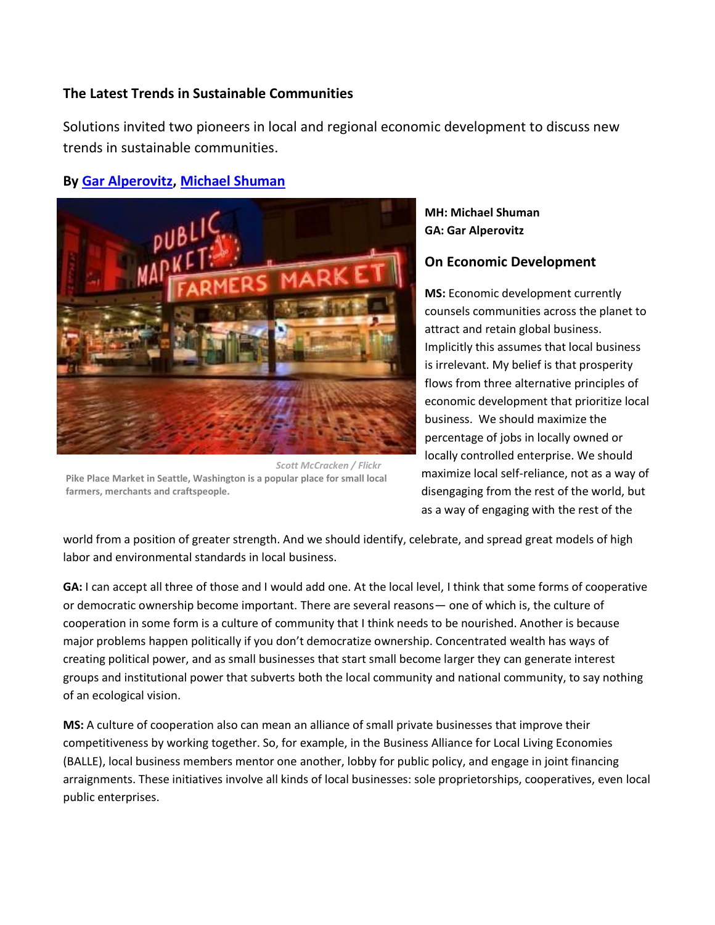### **The Latest Trends in Sustainable Communities**

Solutions invited two pioneers in local and regional economic development to discuss new trends in sustainable communities.

# **By [Gar Alperovitz,](http://www.thesolutionsjournal.com/user/34) [Michael Shuman](http://www.thesolutionsjournal.com/user/123124)**



*Scott McCracken / Flickr* **Pike Place Market in Seattle, Washington is a popular place for small local farmers, merchants and craftspeople.**

**MH: Michael Shuman GA: Gar Alperovitz**

## **On Economic Development**

**MS:** Economic development currently counsels communities across the planet to attract and retain global business. Implicitly this assumes that local business is irrelevant. My belief is that prosperity flows from three alternative principles of economic development that prioritize local business. We should maximize the percentage of jobs in locally owned or locally controlled enterprise. We should maximize local self-reliance, not as a way of disengaging from the rest of the world, but as a way of engaging with the rest of the

world from a position of greater strength. And we should identify, celebrate, and spread great models of high labor and environmental standards in local business.

**GA:** I can accept all three of those and I would add one. At the local level, I think that some forms of cooperative or democratic ownership become important. There are several reasons— one of which is, the culture of cooperation in some form is a culture of community that I think needs to be nourished. Another is because major problems happen politically if you don't democratize ownership. Concentrated wealth has ways of creating political power, and as small businesses that start small become larger they can generate interest groups and institutional power that subverts both the local community and national community, to say nothing of an ecological vision.

**MS:** A culture of cooperation also can mean an alliance of small private businesses that improve their competitiveness by working together. So, for example, in the Business Alliance for Local Living Economies (BALLE), local business members mentor one another, lobby for public policy, and engage in joint financing arraignments. These initiatives involve all kinds of local businesses: sole proprietorships, cooperatives, even local public enterprises.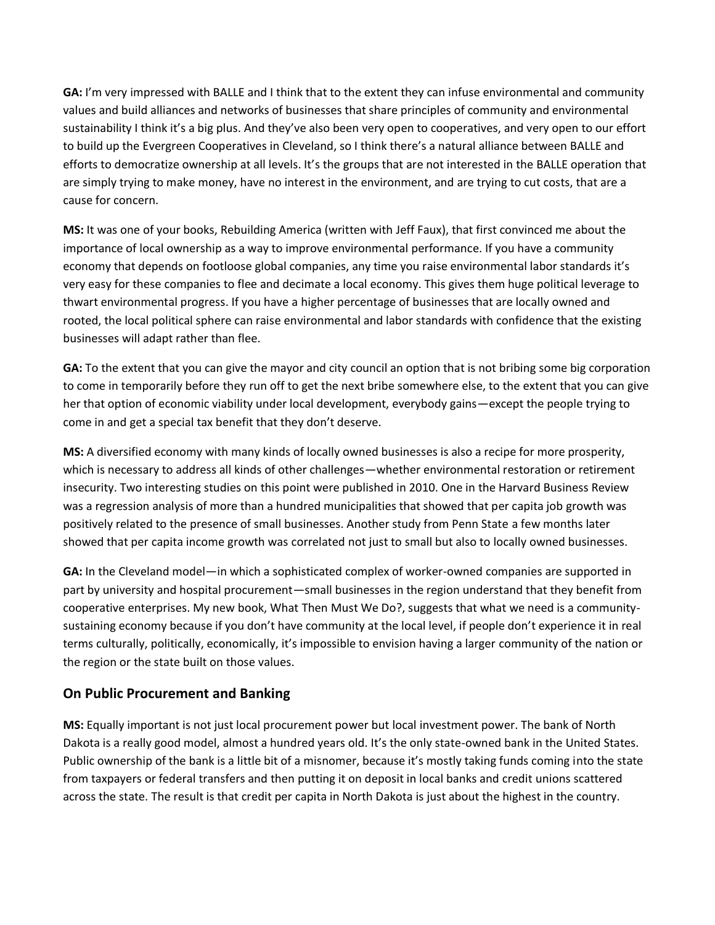**GA:** I'm very impressed with BALLE and I think that to the extent they can infuse environmental and community values and build alliances and networks of businesses that share principles of community and environmental sustainability I think it's a big plus. And they've also been very open to cooperatives, and very open to our effort to build up the Evergreen Cooperatives in Cleveland, so I think there's a natural alliance between BALLE and efforts to democratize ownership at all levels. It's the groups that are not interested in the BALLE operation that are simply trying to make money, have no interest in the environment, and are trying to cut costs, that are a cause for concern.

**MS:** It was one of your books, Rebuilding America (written with Jeff Faux), that first convinced me about the importance of local ownership as a way to improve environmental performance. If you have a community economy that depends on footloose global companies, any time you raise environmental labor standards it's very easy for these companies to flee and decimate a local economy. This gives them huge political leverage to thwart environmental progress. If you have a higher percentage of businesses that are locally owned and rooted, the local political sphere can raise environmental and labor standards with confidence that the existing businesses will adapt rather than flee.

**GA:** To the extent that you can give the mayor and city council an option that is not bribing some big corporation to come in temporarily before they run off to get the next bribe somewhere else, to the extent that you can give her that option of economic viability under local development, everybody gains—except the people trying to come in and get a special tax benefit that they don't deserve.

**MS:** A diversified economy with many kinds of locally owned businesses is also a recipe for more prosperity, which is necessary to address all kinds of other challenges—whether environmental restoration or retirement insecurity. Two interesting studies on this point were published in 2010. One in the Harvard Business Review was a regression analysis of more than a hundred municipalities that showed that per capita job growth was positively related to the presence of small businesses. Another study from Penn State a few months later showed that per capita income growth was correlated not just to small but also to locally owned businesses.

**GA:** In the Cleveland model—in which a sophisticated complex of worker-owned companies are supported in part by university and hospital procurement—small businesses in the region understand that they benefit from cooperative enterprises. My new book, What Then Must We Do?, suggests that what we need is a communitysustaining economy because if you don't have community at the local level, if people don't experience it in real terms culturally, politically, economically, it's impossible to envision having a larger community of the nation or the region or the state built on those values.

### **On Public Procurement and Banking**

**MS:** Equally important is not just local procurement power but local investment power. The bank of North Dakota is a really good model, almost a hundred years old. It's the only state-owned bank in the United States. Public ownership of the bank is a little bit of a misnomer, because it's mostly taking funds coming into the state from taxpayers or federal transfers and then putting it on deposit in local banks and credit unions scattered across the state. The result is that credit per capita in North Dakota is just about the highest in the country.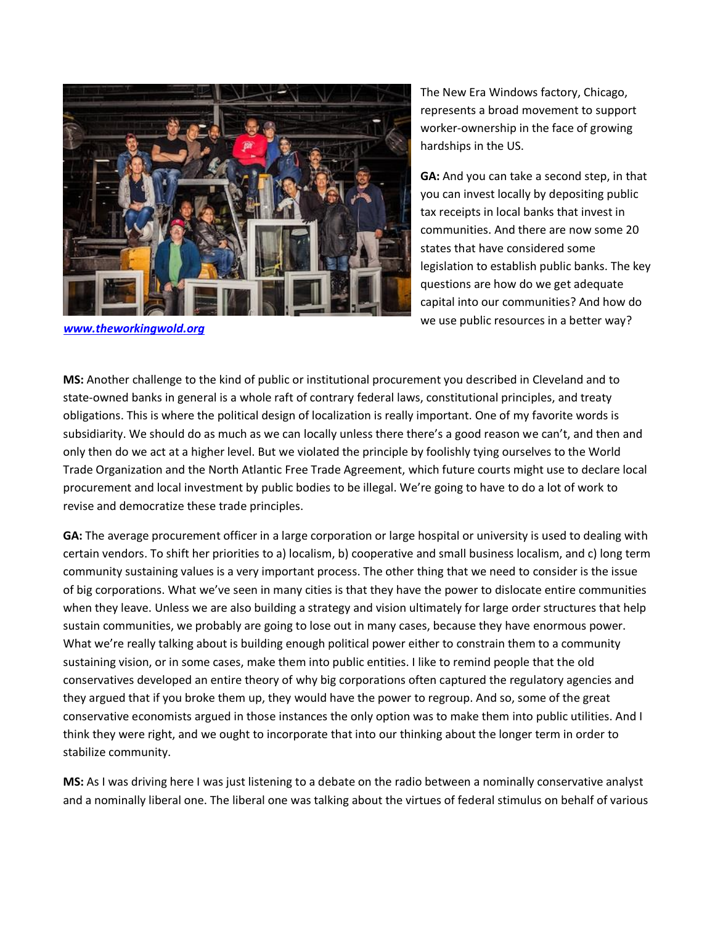

*[www.theworkingwold.org](http://www.theworkingwold.org/)*

The New Era Windows factory, Chicago, represents a broad movement to support worker-ownership in the face of growing hardships in the US.

**GA:** And you can take a second step, in that you can invest locally by depositing public tax receipts in local banks that invest in communities. And there are now some 20 states that have considered some legislation to establish public banks. The key questions are how do we get adequate capital into our communities? And how do we use public resources in a better way?

**MS:** Another challenge to the kind of public or institutional procurement you described in Cleveland and to state-owned banks in general is a whole raft of contrary federal laws, constitutional principles, and treaty obligations. This is where the political design of localization is really important. One of my favorite words is subsidiarity. We should do as much as we can locally unless there there's a good reason we can't, and then and only then do we act at a higher level. But we violated the principle by foolishly tying ourselves to the World Trade Organization and the North Atlantic Free Trade Agreement, which future courts might use to declare local procurement and local investment by public bodies to be illegal. We're going to have to do a lot of work to revise and democratize these trade principles.

**GA:** The average procurement officer in a large corporation or large hospital or university is used to dealing with certain vendors. To shift her priorities to a) localism, b) cooperative and small business localism, and c) long term community sustaining values is a very important process. The other thing that we need to consider is the issue of big corporations. What we've seen in many cities is that they have the power to dislocate entire communities when they leave. Unless we are also building a strategy and vision ultimately for large order structures that help sustain communities, we probably are going to lose out in many cases, because they have enormous power. What we're really talking about is building enough political power either to constrain them to a community sustaining vision, or in some cases, make them into public entities. I like to remind people that the old conservatives developed an entire theory of why big corporations often captured the regulatory agencies and they argued that if you broke them up, they would have the power to regroup. And so, some of the great conservative economists argued in those instances the only option was to make them into public utilities. And I think they were right, and we ought to incorporate that into our thinking about the longer term in order to stabilize community.

**MS:** As I was driving here I was just listening to a debate on the radio between a nominally conservative analyst and a nominally liberal one. The liberal one was talking about the virtues of federal stimulus on behalf of various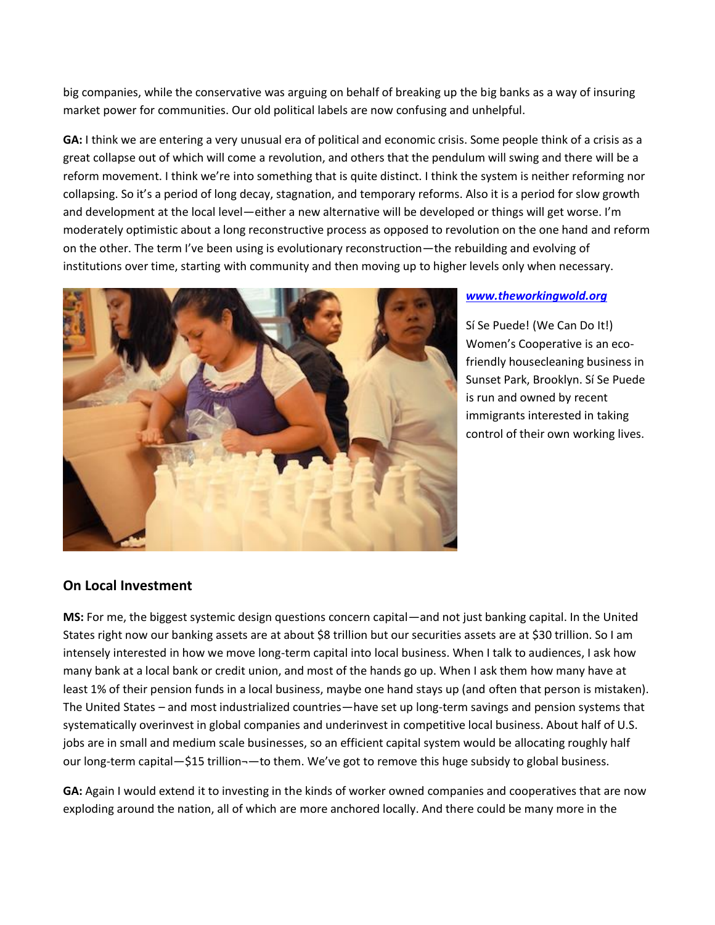big companies, while the conservative was arguing on behalf of breaking up the big banks as a way of insuring market power for communities. Our old political labels are now confusing and unhelpful.

**GA:** I think we are entering a very unusual era of political and economic crisis. Some people think of a crisis as a great collapse out of which will come a revolution, and others that the pendulum will swing and there will be a reform movement. I think we're into something that is quite distinct. I think the system is neither reforming nor collapsing. So it's a period of long decay, stagnation, and temporary reforms. Also it is a period for slow growth and development at the local level—either a new alternative will be developed or things will get worse. I'm moderately optimistic about a long reconstructive process as opposed to revolution on the one hand and reform on the other. The term I've been using is evolutionary reconstruction—the rebuilding and evolving of institutions over time, starting with community and then moving up to higher levels only when necessary.



#### *[www.theworkingwold.org](http://www.theworkingwold.org/)*

Sí Se Puede! (We Can Do It!) Women's Cooperative is an ecofriendly housecleaning business in Sunset Park, Brooklyn. Sí Se Puede is run and owned by recent immigrants interested in taking control of their own working lives.

### **On Local Investment**

**MS:** For me, the biggest systemic design questions concern capital—and not just banking capital. In the United States right now our banking assets are at about \$8 trillion but our securities assets are at \$30 trillion. So I am intensely interested in how we move long-term capital into local business. When I talk to audiences, I ask how many bank at a local bank or credit union, and most of the hands go up. When I ask them how many have at least 1% of their pension funds in a local business, maybe one hand stays up (and often that person is mistaken). The United States – and most industrialized countries—have set up long-term savings and pension systems that systematically overinvest in global companies and underinvest in competitive local business. About half of U.S. jobs are in small and medium scale businesses, so an efficient capital system would be allocating roughly half our long-term capital—\$15 trillion-—to them. We've got to remove this huge subsidy to global business.

**GA:** Again I would extend it to investing in the kinds of worker owned companies and cooperatives that are now exploding around the nation, all of which are more anchored locally. And there could be many more in the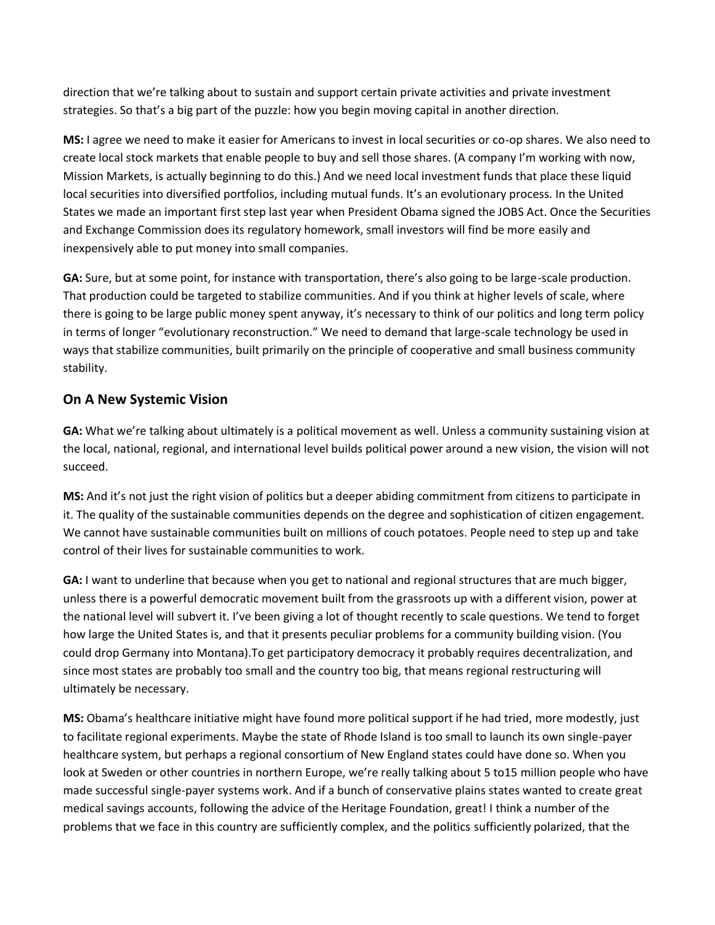direction that we're talking about to sustain and support certain private activities and private investment strategies. So that's a big part of the puzzle: how you begin moving capital in another direction.

**MS:** I agree we need to make it easier for Americans to invest in local securities or co-op shares. We also need to create local stock markets that enable people to buy and sell those shares. (A company I'm working with now, Mission Markets, is actually beginning to do this.) And we need local investment funds that place these liquid local securities into diversified portfolios, including mutual funds. It's an evolutionary process. In the United States we made an important first step last year when President Obama signed the JOBS Act. Once the Securities and Exchange Commission does its regulatory homework, small investors will find be more easily and inexpensively able to put money into small companies.

**GA:** Sure, but at some point, for instance with transportation, there's also going to be large-scale production. That production could be targeted to stabilize communities. And if you think at higher levels of scale, where there is going to be large public money spent anyway, it's necessary to think of our politics and long term policy in terms of longer "evolutionary reconstruction." We need to demand that large-scale technology be used in ways that stabilize communities, built primarily on the principle of cooperative and small business community stability.

## **On A New Systemic Vision**

**GA:** What we're talking about ultimately is a political movement as well. Unless a community sustaining vision at the local, national, regional, and international level builds political power around a new vision, the vision will not succeed.

**MS:** And it's not just the right vision of politics but a deeper abiding commitment from citizens to participate in it. The quality of the sustainable communities depends on the degree and sophistication of citizen engagement. We cannot have sustainable communities built on millions of couch potatoes. People need to step up and take control of their lives for sustainable communities to work.

**GA:** I want to underline that because when you get to national and regional structures that are much bigger, unless there is a powerful democratic movement built from the grassroots up with a different vision, power at the national level will subvert it. I've been giving a lot of thought recently to scale questions. We tend to forget how large the United States is, and that it presents peculiar problems for a community building vision. (You could drop Germany into Montana).To get participatory democracy it probably requires decentralization, and since most states are probably too small and the country too big, that means regional restructuring will ultimately be necessary.

**MS:** Obama's healthcare initiative might have found more political support if he had tried, more modestly, just to facilitate regional experiments. Maybe the state of Rhode Island is too small to launch its own single-payer healthcare system, but perhaps a regional consortium of New England states could have done so. When you look at Sweden or other countries in northern Europe, we're really talking about 5 to15 million people who have made successful single-payer systems work. And if a bunch of conservative plains states wanted to create great medical savings accounts, following the advice of the Heritage Foundation, great! I think a number of the problems that we face in this country are sufficiently complex, and the politics sufficiently polarized, that the